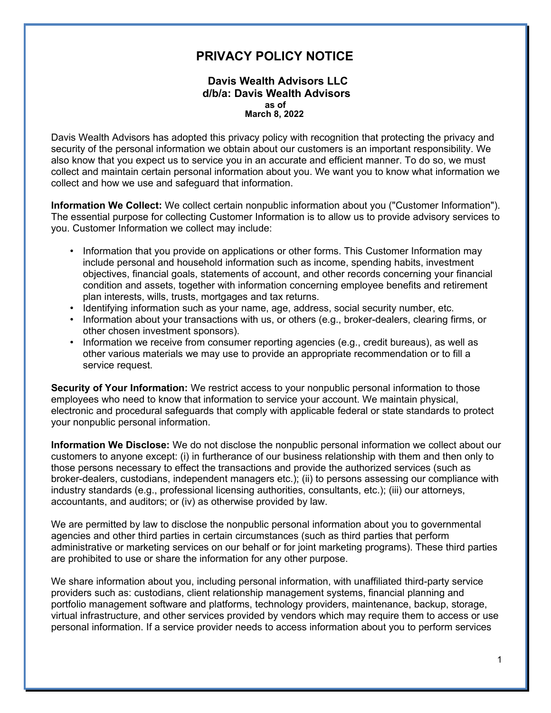## **PRIVACY POLICY NOTICE**

## **Davis Wealth Advisors LLC d/b/a: Davis Wealth Advisors as of March 8, 2022**

Davis Wealth Advisors has adopted this privacy policy with recognition that protecting the privacy and security of the personal information we obtain about our customers is an important responsibility. We also know that you expect us to service you in an accurate and efficient manner. To do so, we must collect and maintain certain personal information about you. We want you to know what information we collect and how we use and safeguard that information.

**Information We Collect:** We collect certain nonpublic information about you ("Customer Information"). The essential purpose for collecting Customer Information is to allow us to provide advisory services to you. Customer Information we collect may include:

- Information that you provide on applications or other forms. This Customer Information may include personal and household information such as income, spending habits, investment objectives, financial goals, statements of account, and other records concerning your financial condition and assets, together with information concerning employee benefits and retirement plan interests, wills, trusts, mortgages and tax returns.
- Identifying information such as your name, age, address, social security number, etc.
- Information about your transactions with us, or others (e.g., broker-dealers, clearing firms, or other chosen investment sponsors).
- Information we receive from consumer reporting agencies (e.g., credit bureaus), as well as other various materials we may use to provide an appropriate recommendation or to fill a service request.

**Security of Your Information:** We restrict access to your nonpublic personal information to those employees who need to know that information to service your account. We maintain physical, electronic and procedural safeguards that comply with applicable federal or state standards to protect your nonpublic personal information.

**Information We Disclose:** We do not disclose the nonpublic personal information we collect about our customers to anyone except: (i) in furtherance of our business relationship with them and then only to those persons necessary to effect the transactions and provide the authorized services (such as broker-dealers, custodians, independent managers etc.); (ii) to persons assessing our compliance with industry standards (e.g., professional licensing authorities, consultants, etc.); (iii) our attorneys, accountants, and auditors; or (iv) as otherwise provided by law.

We are permitted by law to disclose the nonpublic personal information about you to governmental agencies and other third parties in certain circumstances (such as third parties that perform administrative or marketing services on our behalf or for joint marketing programs). These third parties are prohibited to use or share the information for any other purpose.

We share information about you, including personal information, with unaffiliated third-party service providers such as: custodians, client relationship management systems, financial planning and portfolio management software and platforms, technology providers, maintenance, backup, storage, virtual infrastructure, and other services provided by vendors which may require them to access or use personal information. If a service provider needs to access information about you to perform services